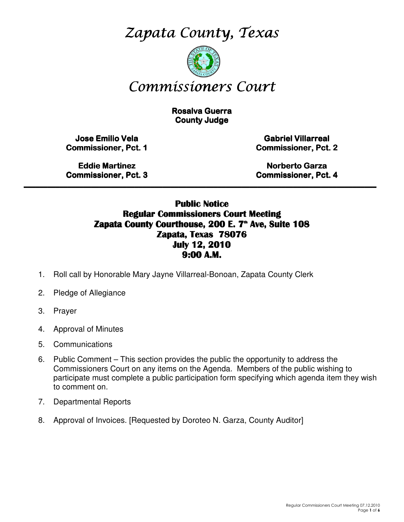Zapata County, Texas



# Commissioners Court

**Rosalva Guerra County Judge** 

Jose Emilio Vela Commissioner, Pct. 1

Gabriel Villarreal Gabriel Villarreal Commissioner, Pct. 2

**Eddie Martinez Commissioner, Pct. 3** 

Norberto Garza Commissioner, Pct. 4

### Public Notice Regular Commissioners Court Meeting Zapata County Courthouse, 200 E. 7<sup>th</sup> Ave, Suite 108 Zapata, Texas 78076 July 12, 2010 9:00 A.M.

\_\_\_\_\_\_\_\_\_\_\_\_\_\_\_\_\_\_\_\_\_\_\_\_\_\_\_\_\_\_\_\_\_\_\_\_\_\_\_\_\_\_\_\_\_\_\_\_\_\_\_\_\_\_\_\_\_\_\_\_\_\_\_\_\_\_\_\_\_\_\_\_\_\_\_\_\_\_\_\_\_\_\_\_\_\_\_\_\_

- 1. Roll call by Honorable Mary Jayne Villarreal-Bonoan, Zapata County Clerk
- 2. Pledge of Allegiance
- 3. Prayer
- 4. Approval of Minutes
- 5. Communications
- 6. Public Comment This section provides the public the opportunity to address the Commissioners Court on any items on the Agenda. Members of the public wishing to participate must complete a public participation form specifying which agenda item they wish to comment on.
- 7. Departmental Reports
- 8. Approval of Invoices. [Requested by Doroteo N. Garza, County Auditor]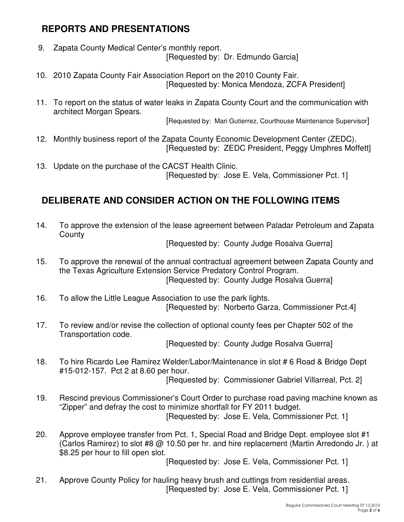# **REPORTS AND PRESENTATIONS**

- 9. Zapata County Medical Center's monthly report. [Requested by: Dr. Edmundo Garcia]
- 10. 2010 Zapata County Fair Association Report on the 2010 County Fair. [Requested by: Monica Mendoza, ZCFA President]
- 11. To report on the status of water leaks in Zapata County Court and the communication with architect Morgan Spears.

[Requested by: Mari Gutierrez, Courthouse Maintenance Supervisor]

- 12. Monthly business report of the Zapata County Economic Development Center (ZEDC). [Requested by: ZEDC President, Peggy Umphres Moffett]
- 13. Update on the purchase of the CACST Health Clinic. [Requested by: Jose E. Vela, Commissioner Pct. 1]

# **DELIBERATE AND CONSIDER ACTION ON THE FOLLOWING ITEMS**

14. To approve the extension of the lease agreement between Paladar Petroleum and Zapata **County** 

[Requested by: County Judge Rosalva Guerra]

- 15. To approve the renewal of the annual contractual agreement between Zapata County and the Texas Agriculture Extension Service Predatory Control Program. [Requested by: County Judge Rosalva Guerra]
- 16. To allow the Little League Association to use the park lights. [Requested by: Norberto Garza, Commissioner Pct.4]
- 17. To review and/or revise the collection of optional county fees per Chapter 502 of the Transportation code.

[Requested by: County Judge Rosalva Guerra]

18. To hire Ricardo Lee Ramirez Welder/Labor/Maintenance in slot # 6 Road & Bridge Dept #15-012-157. Pct 2 at 8.60 per hour.

[Requested by: Commissioner Gabriel Villarreal, Pct. 2]

- 19. Rescind previous Commissioner's Court Order to purchase road paving machine known as "Zipper" and defray the cost to minimize shortfall for FY 2011 budget. [Requested by: Jose E. Vela, Commissioner Pct. 1]
- 20. Approve employee transfer from Pct. 1, Special Road and Bridge Dept. employee slot #1 (Carlos Ramirez) to slot #8 @ 10.50 per hr. and hire replacement (Martin Arredondo Jr. ) at \$8.25 per hour to fill open slot.

[Requested by: Jose E. Vela, Commissioner Pct. 1]

21. Approve County Policy for hauling heavy brush and cuttings from residential areas. [Requested by: Jose E. Vela, Commissioner Pct. 1]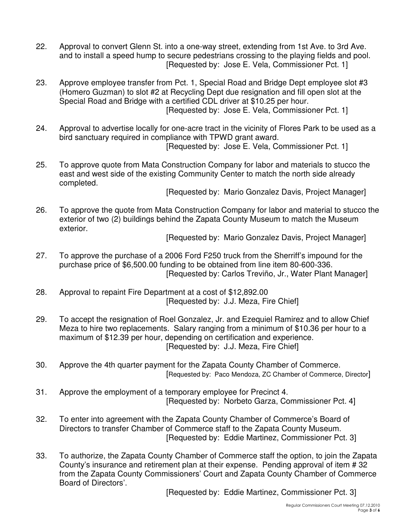- 22. Approval to convert Glenn St. into a one-way street, extending from 1st Ave. to 3rd Ave. and to install a speed hump to secure pedestrians crossing to the playing fields and pool. [Requested by: Jose E. Vela, Commissioner Pct. 1]
- 23. Approve employee transfer from Pct. 1, Special Road and Bridge Dept employee slot #3 (Homero Guzman) to slot #2 at Recycling Dept due resignation and fill open slot at the Special Road and Bridge with a certified CDL driver at \$10.25 per hour. [Requested by: Jose E. Vela, Commissioner Pct. 1]
- 24. Approval to advertise locally for one-acre tract in the vicinity of Flores Park to be used as a bird sanctuary required in compliance with TPWD grant award. [Requested by: Jose E. Vela, Commissioner Pct. 1]

25. To approve quote from Mata Construction Company for labor and materials to stucco the east and west side of the existing Community Center to match the north side already completed.

[Requested by: Mario Gonzalez Davis, Project Manager]

26. To approve the quote from Mata Construction Company for labor and material to stucco the exterior of two (2) buildings behind the Zapata County Museum to match the Museum exterior.

[Requested by: Mario Gonzalez Davis, Project Manager]

- 27. To approve the purchase of a 2006 Ford F250 truck from the Sherriff's impound for the purchase price of \$6,500.00 funding to be obtained from line item 80-600-336. [Requested by: Carlos Treviño, Jr., Water Plant Manager]
- 28. Approval to repaint Fire Department at a cost of \$12,892.00 [Requested by: J.J. Meza, Fire Chief]
- 29. To accept the resignation of Roel Gonzalez, Jr. and Ezequiel Ramirez and to allow Chief Meza to hire two replacements. Salary ranging from a minimum of \$10.36 per hour to a maximum of \$12.39 per hour, depending on certification and experience. [Requested by: J.J. Meza, Fire Chief]
- 30. Approve the 4th quarter payment for the Zapata County Chamber of Commerce. [Requested by: Paco Mendoza, ZC Chamber of Commerce, Director]
- 31. Approve the employment of a temporary employee for Precinct 4. [Requested by: Norbeto Garza, Commissioner Pct. 4]
- 32. To enter into agreement with the Zapata County Chamber of Commerce's Board of Directors to transfer Chamber of Commerce staff to the Zapata County Museum. [Requested by: Eddie Martinez, Commissioner Pct. 3]
- 33. To authorize, the Zapata County Chamber of Commerce staff the option, to join the Zapata County's insurance and retirement plan at their expense. Pending approval of item # 32 from the Zapata County Commissioners' Court and Zapata County Chamber of Commerce Board of Directors'.

[Requested by: Eddie Martinez, Commissioner Pct. 3]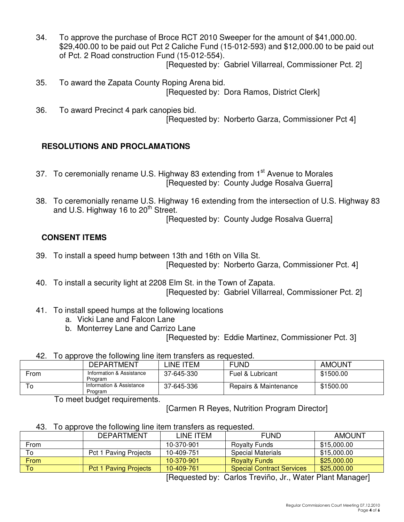- 34. To approve the purchase of Broce RCT 2010 Sweeper for the amount of \$41,000.00. \$29,400.00 to be paid out Pct 2 Caliche Fund (15-012-593) and \$12,000.00 to be paid out of Pct. 2 Road construction Fund (15-012-554).
	- [Requested by: Gabriel Villarreal, Commissioner Pct. 2]
- 35. To award the Zapata County Roping Arena bid. [Requested by: Dora Ramos, District Clerk]
- 36. To award Precinct 4 park canopies bid. [Requested by: Norberto Garza, Commissioner Pct 4]

### **RESOLUTIONS AND PROCLAMATIONS**

- 37. To ceremonially rename U.S. Highway 83 extending from 1<sup>st</sup> Avenue to Morales [Requested by: County Judge Rosalva Guerra]
- 38. To ceremonially rename U.S. Highway 16 extending from the intersection of U.S. Highway 83 and U.S. Highway 16 to  $20<sup>th</sup>$  Street.

[Requested by: County Judge Rosalva Guerra]

### **CONSENT ITEMS**

- 39. To install a speed hump between 13th and 16th on Villa St. [Requested by: Norberto Garza, Commissioner Pct. 4]
- 40. To install a security light at 2208 Elm St. in the Town of Zapata. [Requested by: Gabriel Villarreal, Commissioner Pct. 2]
- 41. To install speed humps at the following locations
	- a. Vicki Lane and Falcon Lane
	- b. Monterrey Lane and Carrizo Lane

[Requested by: Eddie Martinez, Commissioner Pct. 3]

42. To approve the following line item transfers as requested.

|      | <b>DEPARTMENT</b>                   | INE ITEML  | <b>FUND</b>           | <b>AMOUNT</b> |
|------|-------------------------------------|------------|-----------------------|---------------|
| From | Information & Assistance<br>Program | 37-645-330 | Fuel & Lubricant      | \$1500.00     |
| 0    | Information & Assistance<br>Program | 37-645-336 | Repairs & Maintenance | \$1500.00     |

To meet budget requirements.

[Carmen R Reyes, Nutrition Program Director]

43. To approve the following line item transfers as requested.

|      | <b>DEPARTMENT</b>            | LINE ITEM  | <b>FUND</b>                      | <b>AMOUNT</b> |
|------|------------------------------|------------|----------------------------------|---------------|
| From |                              | 10-370-901 | <b>Rovalty Funds</b>             | \$15,000.00   |
| To   | Pct 1 Paving Projects        | 10-409-751 | <b>Special Materials</b>         | \$15,000.00   |
| From |                              | 10-370-901 | <b>Royalty Funds</b>             | \$25,000.00   |
| To   | <b>Pct 1 Paving Projects</b> | 10-409-761 | <b>Special Contract Services</b> | \$25,000.00   |

[Requested by: Carlos Treviño, Jr., Water Plant Manager]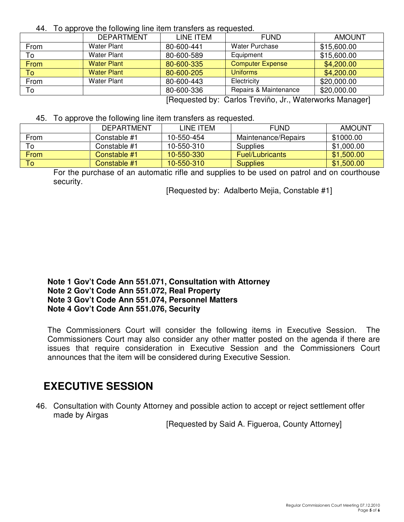44. To approve the following line item transfers as requested.

|                             | <b>DEPARTMENT</b>  | LINE ITEM  | <b>FUND</b>             | <b>AMOUNT</b> |
|-----------------------------|--------------------|------------|-------------------------|---------------|
| From                        | <b>Water Plant</b> | 80-600-441 | <b>Water Purchase</b>   | \$15,600.00   |
| To                          | <b>Water Plant</b> | 80-600-589 | Equipment               | \$15,600.00   |
| From                        | <b>Water Plant</b> | 80-600-335 | <b>Computer Expense</b> | \$4,200.00    |
| Tol                         | <b>Water Plant</b> | 80-600-205 | <b>Uniforms</b>         | \$4,200.00    |
| From                        | <b>Water Plant</b> | 80-600-443 | Electricity             | \$20,000.00   |
| To                          |                    | 80-600-336 | Repairs & Maintenance   | \$20,000.00   |
| $\mathbf{r}$ , $\mathbf{r}$ |                    |            |                         |               |

[Requested by: Carlos Treviño, Jr., Waterworks Manager]

45. To approve the following line item transfers as requested.

|      | <b>DEPARTMENT</b> | LINE ITEM  | <b>FUND</b>            | <b>AMOUNT</b> |
|------|-------------------|------------|------------------------|---------------|
| From | Constable #1      | 10-550-454 | Maintenance/Repairs    | \$1000.00     |
| То   | Constable #1      | 10-550-310 | Supplies               | \$1,000.00    |
| From | Constable #1      | 10-550-330 | <b>Fuel/Lubricants</b> | \$1,500.00    |
| To l | Constable #1      | 10-550-310 | <b>Supplies</b>        | \$1,500.00    |

For the purchase of an automatic rifle and supplies to be used on patrol and on courthouse security.

[Requested by: Adalberto Mejia, Constable #1]

#### **Note 1 Gov't Code Ann 551.071, Consultation with Attorney Note 2 Gov't Code Ann 551.072, Real Property Note 3 Gov't Code Ann 551.074, Personnel Matters Note 4 Gov't Code Ann 551.076, Security**

The Commissioners Court will consider the following items in Executive Session. The Commissioners Court may also consider any other matter posted on the agenda if there are issues that require consideration in Executive Session and the Commissioners Court announces that the item will be considered during Executive Session.

# **EXECUTIVE SESSION**

46. Consultation with County Attorney and possible action to accept or reject settlement offer made by Airgas

[Requested by Said A. Figueroa, County Attorney]